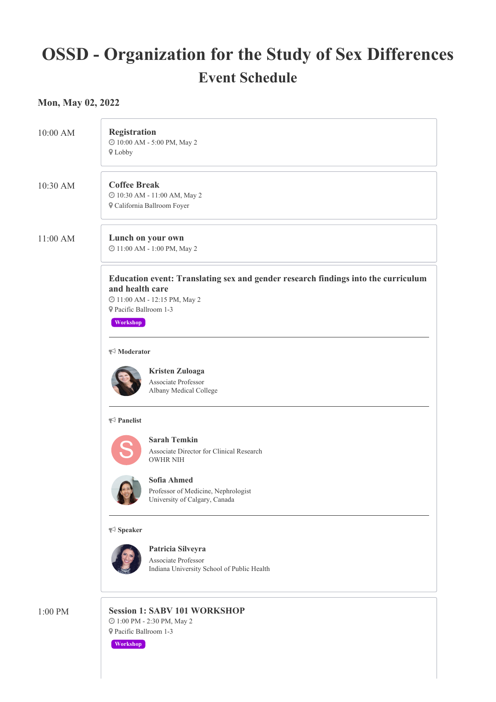# **OSSD - Organization for the Study of Sex Differences Event Schedule**

## **Mon, May 02, 2022**

| 10:00 AM | Registration<br>@ 10:00 AM - 5:00 PM, May 2<br><b>♥</b> Lobby                                                                                                            |
|----------|--------------------------------------------------------------------------------------------------------------------------------------------------------------------------|
| 10:30 AM | <b>Coffee Break</b><br>$\textcircled{\small 10:30\;AM}$ - 11:00 AM, May 2<br><b>V</b> California Ballroom Foyer                                                          |
| 11:00 AM | Lunch on your own<br>@ 11:00 AM - 1:00 PM, May 2                                                                                                                         |
|          | Education event: Translating sex and gender research findings into the curriculum<br>and health care<br>@ 11:00 AM - 12:15 PM, May 2<br>Pacific Ballroom 1-3<br>Workshop |
|          | $\blacktriangleright$ Moderator                                                                                                                                          |
|          | <b>Kristen Zuloaga</b><br>Associate Professor<br>Albany Medical College                                                                                                  |
|          | $\blacktriangleright$ Panelist                                                                                                                                           |
|          | <b>Sarah Temkin</b><br>Associate Director for Clinical Research<br><b>OWHR NIH</b>                                                                                       |
|          | Sofia Ahmed<br><b>GR</b><br>Professor of Medicine, Nephrologist<br>University of Calgary, Canada                                                                         |
|          | $\blacktriangleright$ Speaker                                                                                                                                            |
|          | Patricia Silveyra<br>Associate Professor<br>Indiana University School of Public Health                                                                                   |
| 1:00 PM  | <b>Session 1: SABV 101 WORKSHOP</b><br>$\textcircled{\small 1:00}$ PM - 2:30 PM, May 2<br><b>♥ Pacific Ballroom 1-3</b>                                                  |

**Workshop**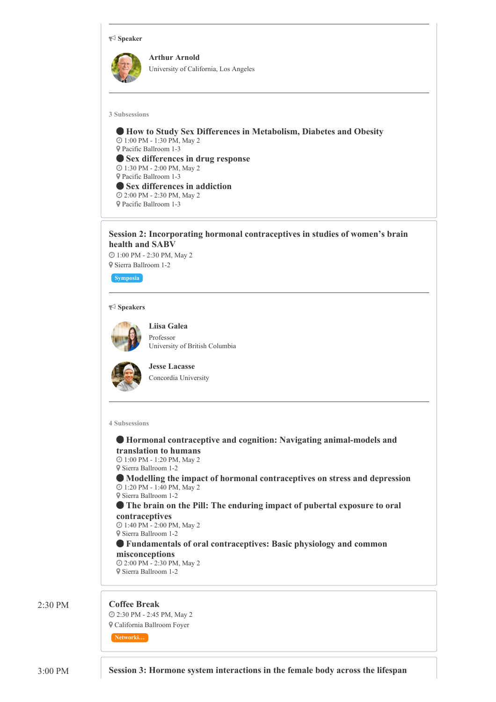

### **Session 2: Incorporating hormonal contraceptives in studies of women's brain health and SABV**

 1:00 PM - 2:30 PM, May 2 Sierra Ballroom 1-2

**Symposia**

#### **Speakers**



**Liisa Galea** Professor University of British Columbia



**Jesse Lacasse** Concordia University

**4 Subsessions**

 **Hormonal contraceptive and cognition: Navigating animal-models and translation to humans** 1:00 PM - 1:20 PM, May 2 Sierra Ballroom 1-2 **Modelling the impact of hormonal contraceptives on stress and depression** 1:20 PM - 1:40 PM, May 2 Sierra Ballroom 1-2 **The brain on the Pill: The enduring impact of pubertal exposure to oral contraceptives** 1:40 PM - 2:00 PM, May 2 Sierra Ballroom 1-2 **Fundamentals of oral contraceptives: Basic physiology and common misconceptions** 2:00 PM - 2:30 PM, May 2 Sierra Ballroom 1-2

#### 2:30 PM **Coffee Break**

 2:30 PM - 2:45 PM, May 2 California Ballroom Foyer

**Networki…**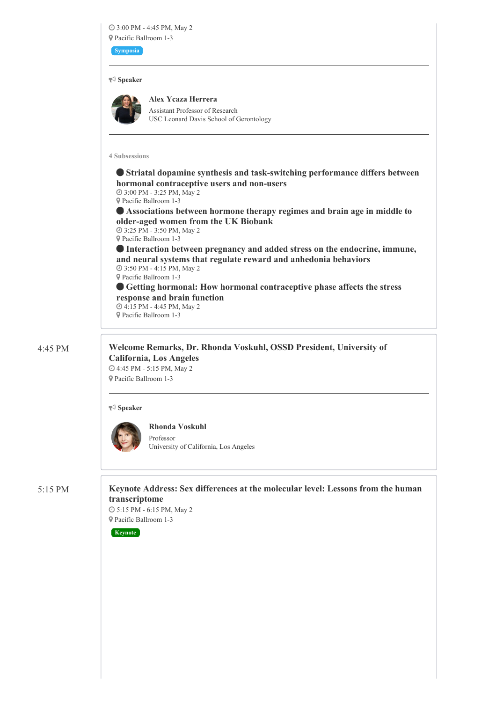3:00 PM - 4:45 PM, May 2 Pacific Ballroom 1-3

**Symposia**

#### **Speaker**

**Alex Ycaza Herrera**

Assistant Professor of Research USC Leonard Davis School of Gerontology

#### **4 Subsessions**

 **Striatal dopamine synthesis and task-switching performance differs between hormonal contraceptive users and non-users** 3:00 PM - 3:25 PM, May 2

Pacific Ballroom 1-3

 **Associations between hormone therapy regimes and brain age in middle to older-aged women from the UK Biobank** 3:25 PM - 3:50 PM, May 2

Pacific Ballroom 1-3

 **Interaction between pregnancy and added stress on the endocrine, immune, and neural systems that regulate reward and anhedonia behaviors** 3:50 PM - 4:15 PM, May 2 Pacific Ballroom 1-3

 **Getting hormonal: How hormonal contraceptive phase affects the stress response and brain function** 4:15 PM - 4:45 PM, May 2

Pacific Ballroom 1-3

4:45 PM **Welcome Remarks, Dr. Rhonda Voskuhl, OSSD President, University of California, Los Angeles** 4:45 PM - 5:15 PM, May 2

Pacific Ballroom 1-3

#### **Speaker**



**Rhonda Voskuhl** Professor University of California, Los Angeles

5:15 PM **Keynote Address: Sex differences at the molecular level: Lessons from the human transcriptome**

 5:15 PM - 6:15 PM, May 2 Pacific Ballroom 1-3

**Keynote**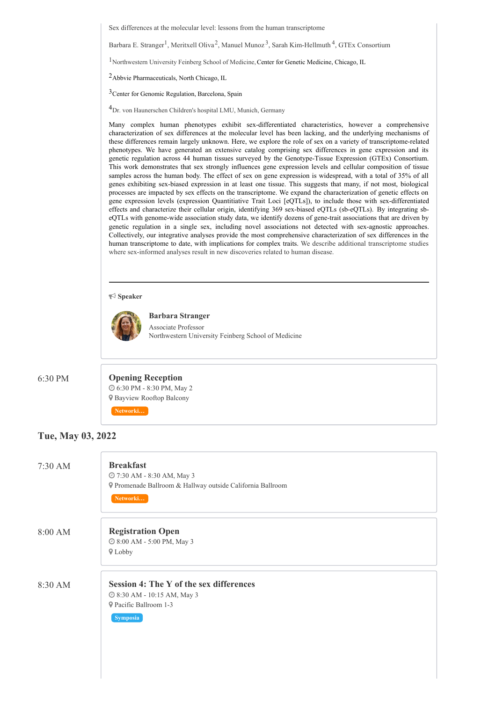Sex differences at the molecular level: lessons from the human transcriptome

Barbara E. Stranger<sup>1</sup>, Meritxell Oliva<sup>2</sup>, Manuel Munoz<sup>3</sup>, Sarah Kim-Hellmuth<sup>4</sup>, GTEx Consortium

<sup>1</sup>Northwestern University Feinberg School of Medicine, Center for Genetic Medicine, Chicago, IL

2Abbvie Pharmaceuticals, North Chicago, IL

3Center for Genomic Regulation, Barcelona, Spain

4Dr. von Haunerschen Children's hospital LMU, Munich, Germany

Many complex human phenotypes exhibit sex-differentiated characteristics, however a comprehensive characterization of sex differences at the molecular level has been lacking, and the underlying mechanisms of these differences remain largely unknown. Here, we explore the role of sex on a variety of transcriptome-related phenotypes. We have generated an extensive catalog comprising sex differences in gene expression and its genetic regulation across 44 human tissues surveyed by the Genotype-Tissue Expression (GTEx) Consortium. This work demonstrates that sex strongly influences gene expression levels and cellular composition of tissue samples across the human body. The effect of sex on gene expression is widespread, with a total of 35% of all genes exhibiting sex-biased expression in at least one tissue. This suggests that many, if not most, biological processes are impacted by sex effects on the transcriptome. We expand the characterization of genetic effects on gene expression levels (expression Quantitiative Trait Loci [eQTLs]), to include those with sex-differentiated effects and characterize their cellular origin, identifying 369 sex-biased eQTLs (sb-eQTLs). By integrating sbeQTLs with genome-wide association study data, we identify dozens of gene-trait associations that are driven by genetic regulation in a single sex, including novel associations not detected with sex-agnostic approaches. Collectively, our integrative analyses provide the most comprehensive characterization of sex differences in the human transcriptome to date, with implications for complex traits. We describe additional transcriptome studies where sex-informed analyses result in new discoveries related to human disease.

#### **Speaker**



**Barbara Stranger** Associate Professor Northwestern University Feinberg School of Medicine

## 6:30 PM **Opening Reception** 6:30 PM - 8:30 PM, May 2 Bayview Rooftop Balcony

### **Tue, May 03, 2022**

| $7:30$ AM | <b>Breakfast</b><br>@ 7:30 AM - 8:30 AM, May 3<br>P Promenade Ballroom & Hallway outside California Ballroom<br>Networki   |
|-----------|----------------------------------------------------------------------------------------------------------------------------|
| 8:00 AM   | <b>Registration Open</b><br>@ 8:00 AM - 5:00 PM, May 3<br><b>♥</b> Lobby                                                   |
| 8:30 AM   | <b>Session 4: The Y of the sex differences</b><br>@ 8:30 AM - 10:15 AM, May 3<br><b>9</b> Pacific Ballroom 1-3<br>Symposia |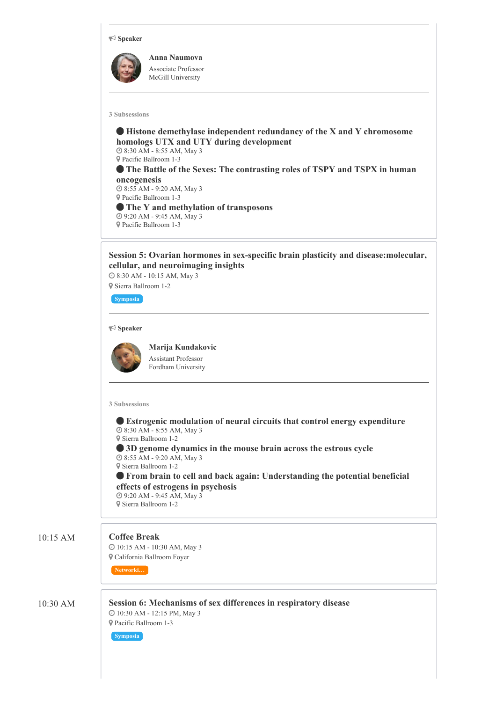#### **Speaker**



**Anna Naumova** Associate Professor McGill University

#### **3 Subsessions**

 **Histone demethylase independent redundancy of the X and Y chromosome homologs UTX and UTY during development** 8:30 AM - 8:55 AM, May 3 Pacific Ballroom 1-3 **The Battle of the Sexes: The contrasting roles of TSPY and TSPX in human oncogenesis** 8:55 AM - 9:20 AM, May 3 Pacific Ballroom 1-3 **The Y and methylation of transposons** 9:20 AM - 9:45 AM, May 3 Pacific Ballroom 1-3

**Session 5: Ovarian hormones in sex-specific brain plasticity and disease:molecular, cellular, and neuroimaging insights**

 8:30 AM - 10:15 AM, May 3 Sierra Ballroom 1-2

**Symposia**

#### **Speaker**

**Marija Kundakovic** Assistant Professor

Fordham University

#### **3 Subsessions**

 **Estrogenic modulation of neural circuits that control energy expenditure** 8:30 AM - 8:55 AM, May 3 Sierra Ballroom 1-2

 **3D genome dynamics in the mouse brain across the estrous cycle** 8:55 AM - 9:20 AM, May 3

Sierra Ballroom 1-2

 **From brain to cell and back again: Understanding the potential beneficial effects of estrogens in psychosis** 9:20 AM - 9:45 AM, May 3

Sierra Ballroom 1-2

#### 10:15 AM **Coffee Break**

 10:15 AM - 10:30 AM, May 3 California Ballroom Foyer

10:30 AM **Session 6: Mechanisms of sex differences in respiratory disease** 10:30 AM - 12:15 PM, May 3 Pacific Ballroom 1-3

#### **Symposia**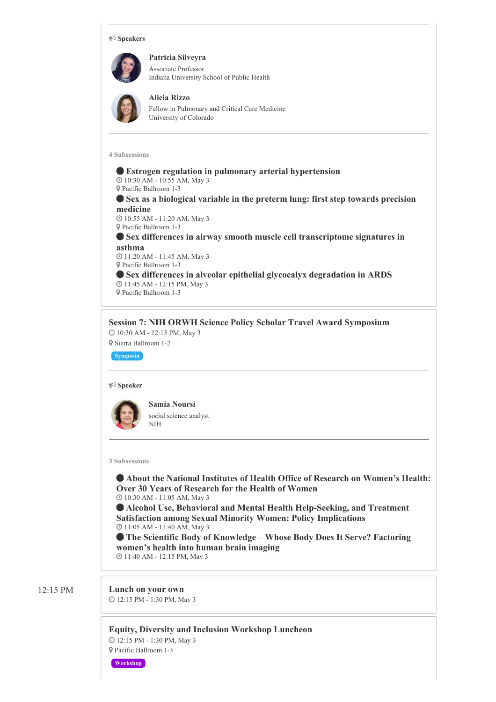#### **Speakers**

**Patricia Silveyra** Associate Professor Indiana University School of Public Health

#### **Alicia Rizzo**

Fellow in Pulmonary and Critical Care Medicine University of Colorado

**4 Subsessions**

 **Estrogen regulation in pulmonary arterial hypertension** 10:30 AM - 10:55 AM, May 3 Pacific Ballroom 1-3 **Sex as a biological variable in the preterm lung: first step towards precision medicine** 10:55 AM - 11:20 AM, May 3 Pacific Ballroom 1-3 **Sex differences in airway smooth muscle cell transcriptome signatures in asthma** 11:20 AM - 11:45 AM, May 3 Pacific Ballroom 1-3 **Sex differences in alveolar epithelial glycocalyx degradation in ARDS** 11:45 AM - 12:15 PM, May 3 Pacific Ballroom 1-3

**Session 7: NIH ORWH Science Policy Scholar Travel Award Symposium** 10:30 AM - 12:15 PM, May 3

Sierra Ballroom 1-2

**Symposia**

#### **Speaker**



**Samia Noursi** social science analyst NIH

**3 Subsessions**

 **About the National Institutes of Health Office of Research on Women's Health: Over 30 Years of Research for the Health of Women** 10:30 AM - 11:05 AM, May 3

 **Alcohol Use, Behavioral and Mental Health Help-Seeking, and Treatment Satisfaction among Sexual Minority Women: Policy Implications** 11:05 AM - 11:40 AM, May 3

 **The Scientific Body of Knowledge – Whose Body Does It Serve? Factoring women's health into human brain imaging** 11:40 AM - 12:15 PM, May 3

## 12:15 PM **Lunch on your own**

12:15 PM - 1:30 PM, May 3

**Equity, Diversity and Inclusion Workshop Luncheon** 12:15 PM - 1:30 PM, May 3 Pacific Ballroom 1-3

**Workshop**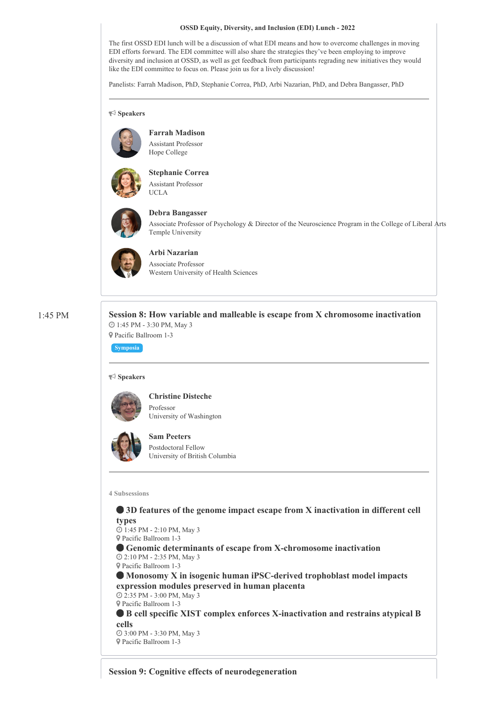#### **OSSD Equity, Diversity, and Inclusion (EDI) Lunch - 2022**

The first OSSD EDI lunch will be a discussion of what EDI means and how to overcome challenges in moving EDI efforts forward. The EDI committee will also share the strategies they've been employing to improve diversity and inclusion at OSSD, as well as get feedback from participants regrading new initiatives they would like the EDI committee to focus on. Please join us for a lively discussion!

Panelists: Farrah Madison, PhD, Stephanie Correa, PhD, Arbi Nazarian, PhD, and Debra Bangasser, PhD

**Speakers**



**Farrah Madison** Assistant Professor Hope College



**Stephanie Correa** Assistant Professor UCLA



## **Debra Bangasser**

Associate Professor of Psychology & Director of the Neuroscience Program in the College of Liberal Arts Temple University



**Arbi Nazarian** Associate Professor Western University of Health Sciences

1:45 PM **Session 8: How variable and malleable is escape from X chromosome inactivation** 1:45 PM - 3:30 PM, May 3 Pacific Ballroom 1-3

**Symposia**

#### **Speakers**



**Christine Disteche** Professor University of Washington



**Sam Peeters** Postdoctoral Fellow University of British Columbia

#### **4 Subsessions**

 **3D features of the genome impact escape from X inactivation in different cell types**

 1:45 PM - 2:10 PM, May 3 Pacific Ballroom 1-3

 **Genomic determinants of escape from X-chromosome inactivation** 2:10 PM - 2:35 PM, May 3

Pacific Ballroom 1-3

 **Monosomy X in isogenic human iPSC-derived trophoblast model impacts expression modules preserved in human placenta** 2:35 PM - 3:00 PM, May 3

Pacific Ballroom 1-3

 **B cell specific XIST complex enforces X-inactivation and restrains atypical B cells**

 3:00 PM - 3:30 PM, May 3 Pacific Ballroom 1-3

**Session 9: Cognitive effects of neurodegeneration**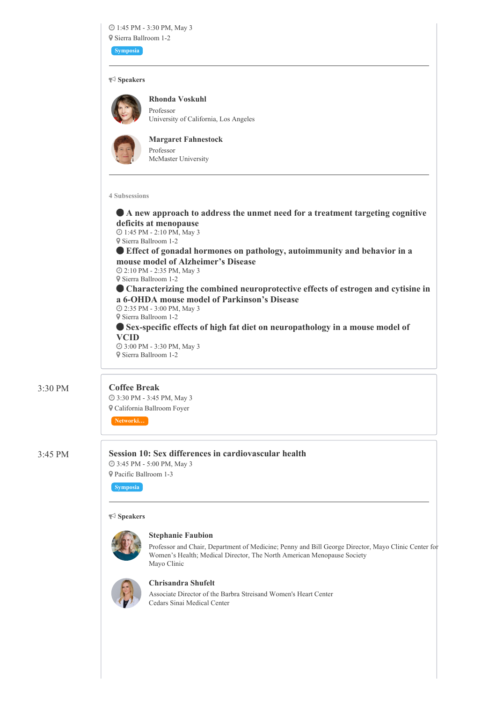## 1:45 PM - 3:30 PM, May 3 Sierra Ballroom 1-2

**Symposia**

#### **Speakers**

**Rhonda Voskuhl** Professor University of California, Los Angeles



**Margaret Fahnestock** Professor McMaster University

**4 Subsessions**

 **A new approach to address the unmet need for a treatment targeting cognitive deficits at menopause** 1:45 PM - 2:10 PM, May 3 Sierra Ballroom 1-2 **Effect of gonadal hormones on pathology, autoimmunity and behavior in a mouse model of Alzheimer's Disease** 2:10 PM - 2:35 PM, May 3 Sierra Ballroom 1-2 **Characterizing the combined neuroprotective effects of estrogen and cytisine in a 6-OHDA mouse model of Parkinson's Disease** 2:35 PM - 3:00 PM, May 3 Sierra Ballroom 1-2 **Sex-specific effects of high fat diet on neuropathology in a mouse model of VCID** 3:00 PM - 3:30 PM, May 3 Sierra Ballroom 1-2

## 3:30 PM **Coffee Break**

 3:30 PM - 3:45 PM, May 3 California Ballroom Foyer

3:45 PM **Session 10: Sex differences in cardiovascular health** 3:45 PM - 5:00 PM, May 3

 Pacific Ballroom 1-3 **Symposia**

#### **Speakers**



#### **Stephanie Faubion**

Professor and Chair, Department of Medicine; Penny and Bill George Director, Mayo Clinic Center for Women's Health; Medical Director, The North American Menopause Society Mayo Clinic



### **Chrisandra Shufelt**

Associate Director of the Barbra Streisand Women's Heart Center Cedars Sinai Medical Center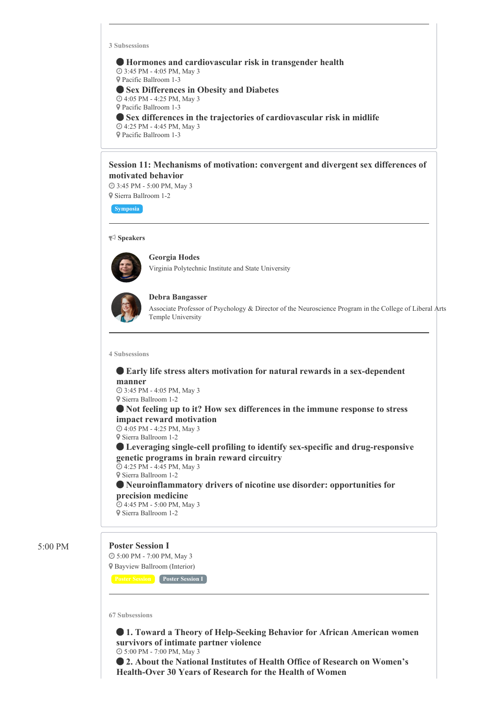**3 Subsessions**

 **Hormones and cardiovascular risk in transgender health** 3:45 PM - 4:05 PM, May 3 Pacific Ballroom 1-3 **Sex Differences in Obesity and Diabetes** 4:05 PM - 4:25 PM, May 3 Pacific Ballroom 1-3 **Sex differences in the trajectories of cardiovascular risk in midlife** 4:25 PM - 4:45 PM, May 3 Pacific Ballroom 1-3

#### **Session 11: Mechanisms of motivation: convergent and divergent sex differences of motivated behavior**

 3:45 PM - 5:00 PM, May 3 Sierra Ballroom 1-2

**Symposia**

#### **Speakers**



**Georgia Hodes** Virginia Polytechnic Institute and State University



#### **Debra Bangasser**

Associate Professor of Psychology & Director of the Neuroscience Program in the College of Liberal Arts Temple University

#### **4 Subsessions**

#### **Early life stress alters motivation for natural rewards in a sex-dependent manner**

 3:45 PM - 4:05 PM, May 3 Sierra Ballroom 1-2

#### **Not feeling up to it? How sex differences in the immune response to stress impact reward motivation**

 4:05 PM - 4:25 PM, May 3 Sierra Ballroom 1-2

 **Leveraging single-cell profiling to identify sex-specific and drug-responsive genetic programs in brain reward circuitry**

 4:25 PM - 4:45 PM, May 3 Sierra Ballroom 1-2

 **Neuroinflammatory drivers of nicotine use disorder: opportunities for precision medicine**

 4:45 PM - 5:00 PM, May 3 Sierra Ballroom 1-2

#### 5:00 PM **Poster Session I**

 5:00 PM - 7:00 PM, May 3 Bayview Ballroom (Interior)

**Poster Session Poster Session I**

**67 Subsessions**

 **1. Toward a Theory of Help-Seeking Behavior for African American women survivors of intimate partner violence**

5:00 PM - 7:00 PM, May 3

 **2. About the National Institutes of Health Office of Research on Women's Health-Over 30 Years of Research for the Health of Women**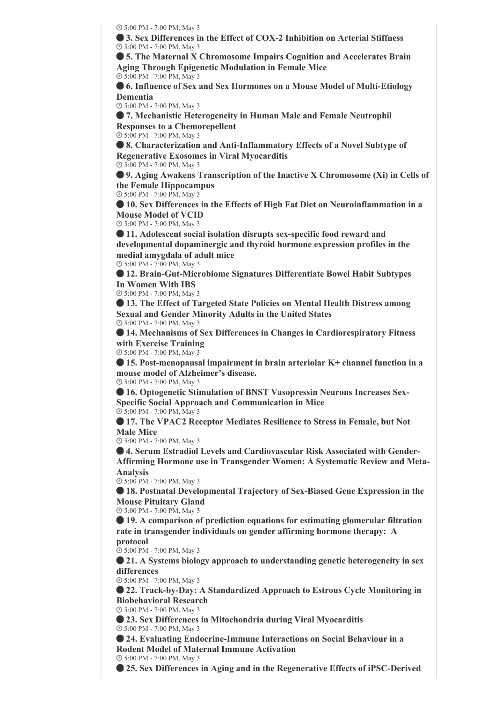5:00 PM - 7:00 PM, May 3

 **3. Sex Differences in the Effect of COX-2 Inhibition on Arterial Stiffness** 5:00 PM - 7:00 PM, May 3

 **5. The Maternal X Chromosome Impairs Cognition and Accelerates Brain Aging Through Epigenetic Modulation in Female Mice** 5:00 PM - 7:00 PM, May 3

 **6. Influence of Sex and Sex Hormones on a Mouse Model of Multi-Etiology Dementia**

5:00 PM - 7:00 PM, May 3

 **7. Mechanistic Heterogeneity in Human Male and Female Neutrophil Responses to a Chemorepellent**

5:00 PM - 7:00 PM, May 3

 **8. Characterization and Anti-Inflammatory Effects of a Novel Subtype of Regenerative Exosomes in Viral Myocarditis** 5:00 PM - 7:00 PM, May 3

 **9. Aging Awakens Transcription of the Inactive X Chromosome (Xi) in Cells of the Female Hippocampus** 5:00 PM - 7:00 PM, May 3

 **10. Sex Differences in the Effects of High Fat Diet on Neuroinflammation in a Mouse Model of VCID**

5:00 PM - 7:00 PM, May 3

 **11. Adolescent social isolation disrupts sex-specific food reward and developmental dopaminergic and thyroid hormone expression profiles in the medial amygdala of adult mice**

5:00 PM - 7:00 PM, May 3

 **12. Brain-Gut-Microbiome Signatures Differentiate Bowel Habit Subtypes In Women With IBS**

5:00 PM - 7:00 PM, May 3

 **13. The Effect of Targeted State Policies on Mental Health Distress among Sexual and Gender Minority Adults in the United States** 5:00 PM - 7:00 PM, May 3

 **14. Mechanisms of Sex Differences in Changes in Cardiorespiratory Fitness with Exercise Training**

5:00 PM - 7:00 PM, May 3

 **15. Post-menopausal impairment in brain arteriolar K+ channel function in a mouse model of Alzheimer's disease.**

5:00 PM - 7:00 PM, May 3

 **16. Optogenetic Stimulation of BNST Vasopressin Neurons Increases Sex-Specific Social Approach and Communication in Mice** 5:00 PM - 7:00 PM, May 3

 **17. The VPAC2 Receptor Mediates Resilience to Stress in Female, but Not Male Mice**

5:00 PM - 7:00 PM, May 3

 **4. Serum Estradiol Levels and Cardiovascular Risk Associated with Gender-Affirming Hormone use in Transgender Women: A Systematic Review and Meta-Analysis**

5:00 PM - 7:00 PM, May 3

 **18. Postnatal Developmental Trajectory of Sex-Biased Gene Expression in the Mouse Pituitary Gland**

5:00 PM - 7:00 PM, May 3

 **19. A comparison of prediction equations for estimating glomerular filtration rate in transgender individuals on gender affirming hormone therapy: A**

### **protocol**

5:00 PM - 7:00 PM, May 3

 **21. A Systems biology approach to understanding genetic heterogeneity in sex differences**

5:00 PM - 7:00 PM, May 3

 **22. Track-by-Day: A Standardized Approach to Estrous Cycle Monitoring in Biobehavioral Research**

5:00 PM - 7:00 PM, May 3

 **23. Sex Differences in Mitochondria during Viral Myocarditis** 5:00 PM - 7:00 PM, May 3

 **24. Evaluating Endocrine-Immune Interactions on Social Behaviour in a Rodent Model of Maternal Immune Activation**

5:00 PM - 7:00 PM, May 3

**25. Sex Differences in Aging and in the Regenerative Effects of iPSC-Derived**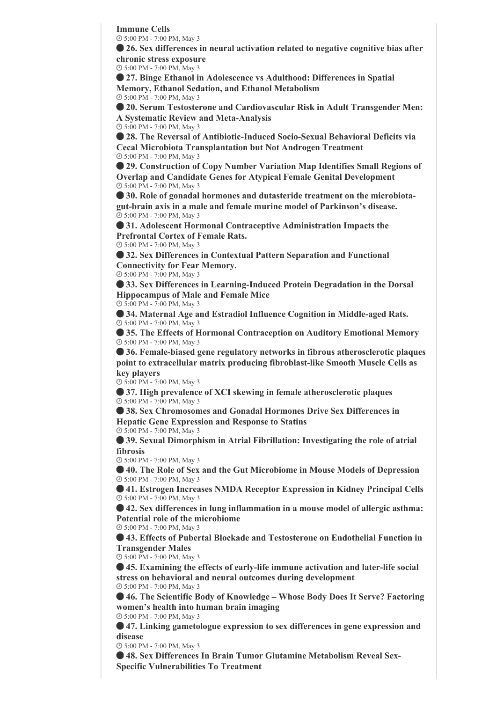**Immune Cells**

5:00 PM - 7:00 PM, May 3

 **26. Sex differences in neural activation related to negative cognitive bias after chronic stress exposure**

5:00 PM - 7:00 PM, May 3

 **27. Binge Ethanol in Adolescence vs Adulthood: Differences in Spatial Memory, Ethanol Sedation, and Ethanol Metabolism**

5:00 PM - 7:00 PM, May 3

 **20. Serum Testosterone and Cardiovascular Risk in Adult Transgender Men: A Systematic Review and Meta-Analysis**

5:00 PM - 7:00 PM, May 3

 **28. The Reversal of Antibiotic-Induced Socio-Sexual Behavioral Deficits via Cecal Microbiota Transplantation but Not Androgen Treatment** 5:00 PM - 7:00 PM, May 3

 **29. Construction of Copy Number Variation Map Identifies Small Regions of Overlap and Candidate Genes for Atypical Female Genital Development** 5:00 PM - 7:00 PM, May 3

 **30. Role of gonadal hormones and dutasteride treatment on the microbiotagut-brain axis in a male and female murine model of Parkinson's disease.** 5:00 PM - 7:00 PM, May 3

 **31. Adolescent Hormonal Contraceptive Administration Impacts the Prefrontal Cortex of Female Rats.**

5:00 PM - 7:00 PM, May 3

 **32. Sex Differences in Contextual Pattern Separation and Functional Connectivity for Fear Memory.**

5:00 PM - 7:00 PM, May 3

 **33. Sex Differences in Learning-Induced Protein Degradation in the Dorsal Hippocampus of Male and Female Mice**

5:00 PM - 7:00 PM, May 3

 **34. Maternal Age and Estradiol Influence Cognition in Middle-aged Rats.** 5:00 PM - 7:00 PM, May 3

 **35. The Effects of Hormonal Contraception on Auditory Emotional Memory** 5:00 PM - 7:00 PM, May 3

 **36. Female-biased gene regulatory networks in fibrous atherosclerotic plaques point to extracellular matrix producing fibroblast-like Smooth Muscle Cells as key players**

5:00 PM - 7:00 PM, May 3

 **37. High prevalence of XCI skewing in female atherosclerotic plaques** 5:00 PM - 7:00 PM, May 3

 **38. Sex Chromosomes and Gonadal Hormones Drive Sex Differences in Hepatic Gene Expression and Response to Statins**

5:00 PM - 7:00 PM, May 3

 **39. Sexual Dimorphism in Atrial Fibrillation: Investigating the role of atrial fibrosis**

5:00 PM - 7:00 PM, May 3

 **40. The Role of Sex and the Gut Microbiome in Mouse Models of Depression** 5:00 PM - 7:00 PM, May 3

 **41. Estrogen Increases NMDA Receptor Expression in Kidney Principal Cells** 5:00 PM - 7:00 PM, May 3

 **42. Sex differences in lung inflammation in a mouse model of allergic asthma: Potential role of the microbiome**

5:00 PM - 7:00 PM, May 3

 **43. Effects of Pubertal Blockade and Testosterone on Endothelial Function in Transgender Males**

5:00 PM - 7:00 PM, May 3

 **45. Examining the effects of early-life immune activation and later-life social stress on behavioral and neural outcomes during development** 5:00 PM - 7:00 PM, May 3

 **46. The Scientific Body of Knowledge – Whose Body Does It Serve? Factoring women's health into human brain imaging**

5:00 PM - 7:00 PM, May 3

 **47. Linking gametologue expression to sex differences in gene expression and disease**

5:00 PM - 7:00 PM, May 3

 **48. Sex Differences In Brain Tumor Glutamine Metabolism Reveal Sex-Specific Vulnerabilities To Treatment**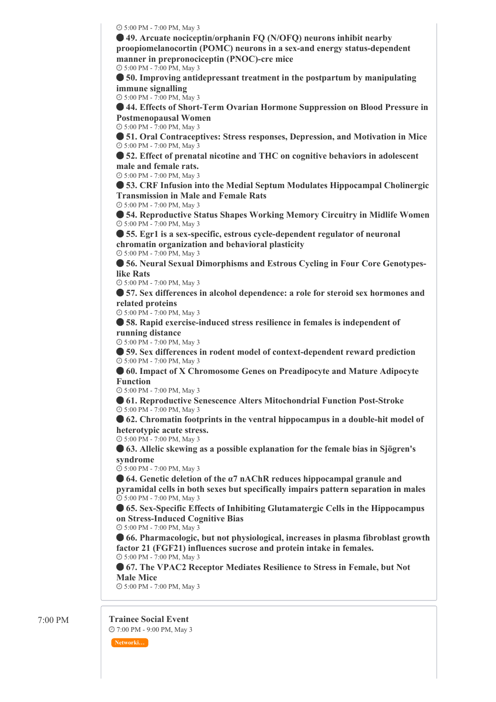5:00 PM - 7:00 PM, May 3

 **49. Arcuate nociceptin/orphanin FQ (N/OFQ) neurons inhibit nearby proopiomelanocortin (POMC) neurons in a sex-and energy status-dependent manner in prepronociceptin (PNOC)-cre mice**

5:00 PM - 7:00 PM, May 3

 **50. Improving antidepressant treatment in the postpartum by manipulating immune signalling**

5:00 PM - 7:00 PM, May 3

 **44. Effects of Short-Term Ovarian Hormone Suppression on Blood Pressure in Postmenopausal Women**

5:00 PM - 7:00 PM, May 3

 **51. Oral Contraceptives: Stress responses, Depression, and Motivation in Mice** 5:00 PM - 7:00 PM, May 3

 **52. Effect of prenatal nicotine and THC on cognitive behaviors in adolescent male and female rats.**

5:00 PM - 7:00 PM, May 3

 **53. CRF Infusion into the Medial Septum Modulates Hippocampal Cholinergic Transmission in Male and Female Rats**

5:00 PM - 7:00 PM, May 3

 **54. Reproductive Status Shapes Working Memory Circuitry in Midlife Women** 5:00 PM - 7:00 PM, May 3

 **55. Egr1 is a sex-specific, estrous cycle-dependent regulator of neuronal chromatin organization and behavioral plasticity** 5:00 PM - 7:00 PM, May 3

 **56. Neural Sexual Dimorphisms and Estrous Cycling in Four Core Genotypeslike Rats**

5:00 PM - 7:00 PM, May 3

 **57. Sex differences in alcohol dependence: a role for steroid sex hormones and related proteins**

5:00 PM - 7:00 PM, May 3

 **58. Rapid exercise-induced stress resilience in females is independent of running distance**

5:00 PM - 7:00 PM, May 3

 **59. Sex differences in rodent model of context-dependent reward prediction** 5:00 PM - 7:00 PM, May 3

 **60. Impact of X Chromosome Genes on Preadipocyte and Mature Adipocyte Function**

5:00 PM - 7:00 PM, May 3

 **61. Reproductive Senescence Alters Mitochondrial Function Post-Stroke** 5:00 PM - 7:00 PM, May 3

 **62. Chromatin footprints in the ventral hippocampus in a double-hit model of heterotypic acute stress.**

5:00 PM - 7:00 PM, May 3

 **63. Allelic skewing as a possible explanation for the female bias in Sjögren's syndrome**

5:00 PM - 7:00 PM, May 3

 **64. Genetic deletion of the α7 nAChR reduces hippocampal granule and pyramidal cells in both sexes but specifically impairs pattern separation in males** 5:00 PM - 7:00 PM, May 3

 **65. Sex-Specific Effects of Inhibiting Glutamatergic Cells in the Hippocampus on Stress-Induced Cognitive Bias**

5:00 PM - 7:00 PM, May 3

 **66. Pharmacologic, but not physiological, increases in plasma fibroblast growth factor 21 (FGF21) influences sucrose and protein intake in females.** 5:00 PM - 7:00 PM, May 3

 **67. The VPAC2 Receptor Mediates Resilience to Stress in Female, but Not Male Mice**

5:00 PM - 7:00 PM, May 3

## 7:00 PM **Trainee Social Event**

7:00 PM - 9:00 PM, May 3

**Networki…**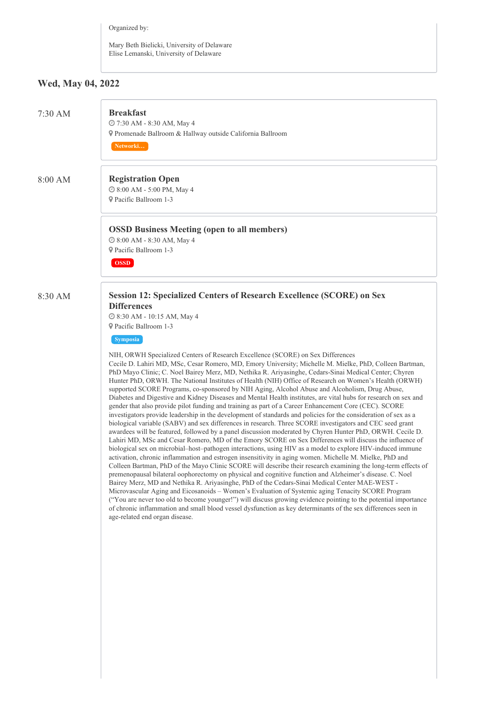Organized by:

Mary Beth Bielicki, University of Delaware Elise Lemanski, University of Delaware

## **Wed, May 04, 2022**

| $7:30$ AM | <b>Breakfast</b><br>@ 7:30 AM - 8:30 AM, May 4<br>¶ Promenade Ballroom & Hallway outside California Ballroom<br>Networki                                                                                                                                                                                                                                                                                                                                                                                                                                                                                                                                                                                                                                                                                                                                                                                                                                                                                                                                                                                                                                                                                                                                                                                                                                                                                                                                                                                                                                                                                                                                                                                                                                                                                                                                                                                                                                                                                                                                                                                                                                                                                                                                                                                           |
|-----------|--------------------------------------------------------------------------------------------------------------------------------------------------------------------------------------------------------------------------------------------------------------------------------------------------------------------------------------------------------------------------------------------------------------------------------------------------------------------------------------------------------------------------------------------------------------------------------------------------------------------------------------------------------------------------------------------------------------------------------------------------------------------------------------------------------------------------------------------------------------------------------------------------------------------------------------------------------------------------------------------------------------------------------------------------------------------------------------------------------------------------------------------------------------------------------------------------------------------------------------------------------------------------------------------------------------------------------------------------------------------------------------------------------------------------------------------------------------------------------------------------------------------------------------------------------------------------------------------------------------------------------------------------------------------------------------------------------------------------------------------------------------------------------------------------------------------------------------------------------------------------------------------------------------------------------------------------------------------------------------------------------------------------------------------------------------------------------------------------------------------------------------------------------------------------------------------------------------------------------------------------------------------------------------------------------------------|
| 8:00 AM   | <b>Registration Open</b><br>© 8:00 AM - 5:00 PM, May 4<br><b>9</b> Pacific Ballroom 1-3                                                                                                                                                                                                                                                                                                                                                                                                                                                                                                                                                                                                                                                                                                                                                                                                                                                                                                                                                                                                                                                                                                                                                                                                                                                                                                                                                                                                                                                                                                                                                                                                                                                                                                                                                                                                                                                                                                                                                                                                                                                                                                                                                                                                                            |
|           | <b>OSSD Business Meeting (open to all members)</b><br>© 8:00 AM - 8:30 AM, May 4<br>P Pacific Ballroom 1-3<br><b>OSSD</b>                                                                                                                                                                                                                                                                                                                                                                                                                                                                                                                                                                                                                                                                                                                                                                                                                                                                                                                                                                                                                                                                                                                                                                                                                                                                                                                                                                                                                                                                                                                                                                                                                                                                                                                                                                                                                                                                                                                                                                                                                                                                                                                                                                                          |
| 8:30 AM   | <b>Session 12: Specialized Centers of Research Excellence (SCORE) on Sex</b><br><b>Differences</b><br>© 8:30 AM - 10:15 AM, May 4<br>Pacific Ballroom 1-3<br><b>Symposia</b><br>NIH, ORWH Specialized Centers of Research Excellence (SCORE) on Sex Differences<br>Cecile D. Lahiri MD, MSc, Cesar Romero, MD, Emory University; Michelle M. Mielke, PhD, Colleen Bartman,<br>PhD Mayo Clinic; C. Noel Bairey Merz, MD, Nethika R. Ariyasinghe, Cedars-Sinai Medical Center; Chyren<br>Hunter PhD, ORWH. The National Institutes of Health (NIH) Office of Research on Women's Health (ORWH)<br>supported SCORE Programs, co-sponsored by NIH Aging, Alcohol Abuse and Alcoholism, Drug Abuse,<br>Diabetes and Digestive and Kidney Diseases and Mental Health institutes, are vital hubs for research on sex and<br>gender that also provide pilot funding and training as part of a Career Enhancement Core (CEC). SCORE<br>investigators provide leadership in the development of standards and policies for the consideration of sex as a<br>biological variable (SABV) and sex differences in research. Three SCORE investigators and CEC seed grant<br>awardees will be featured, followed by a panel discussion moderated by Chyren Hunter PhD, ORWH. Cecile D.<br>Lahiri MD, MSc and Cesar Romero, MD of the Emory SCORE on Sex Differences will discuss the influence of<br>biological sex on microbial—host-pathogen interactions, using HIV as a model to explore HIV-induced immune<br>activation, chronic inflammation and estrogen insensitivity in aging women. Michelle M. Mielke, PhD and<br>Colleen Bartman, PhD of the Mayo Clinic SCORE will describe their research examining the long-term effects of<br>premenopausal bilateral oophorectomy on physical and cognitive function and Alzheimer's disease. C. Noel<br>Bairey Merz, MD and Nethika R. Ariyasinghe, PhD of the Cedars-Sinai Medical Center MAE-WEST -<br>Microvascular Aging and Eicosanoids – Women's Evaluation of Systemic aging Tenacity SCORE Program<br>"You are never too old to become younger!") will discuss growing evidence pointing to the potential importance<br>of chronic inflammation and small blood vessel dysfunction as key determinants of the sex differences seen in<br>age-related end organ disease. |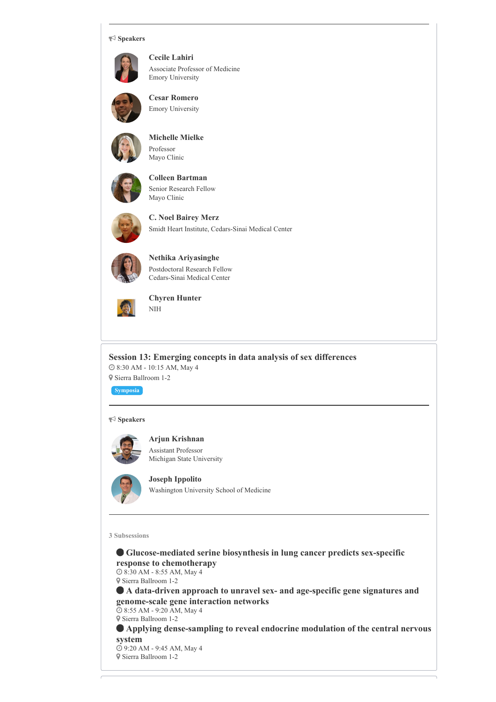#### **Speakers**



**Cecile Lahiri** Associate Professor of Medicine Emory University



**Cesar Romero** Emory University



**Michelle Mielke**

Professor Mayo Clinic



**Colleen Bartman** Senior Research Fellow Mayo Clinic



**C. Noel Bairey Merz** Smidt Heart Institute, Cedars-Sinai Medical Center



**Nethika Ariyasinghe** Postdoctoral Research Fellow Cedars-Sinai Medical Center



**Chyren Hunter** NIH

**Session 13: Emerging concepts in data analysis of sex differences** 8:30 AM - 10:15 AM, May 4 Sierra Ballroom 1-2

**Symposia**

#### **Speakers**



**Arjun Krishnan** Assistant Professor Michigan State University



**Joseph Ippolito** Washington University School of Medicine

**3 Subsessions**

 **Glucose-mediated serine biosynthesis in lung cancer predicts sex-specific response to chemotherapy**

 8:30 AM - 8:55 AM, May 4 Sierra Ballroom 1-2

 **A data-driven approach to unravel sex- and age-specific gene signatures and genome-scale gene interaction networks**

 8:55 AM - 9:20 AM, May 4 Sierra Ballroom 1-2

 **Applying dense-sampling to reveal endocrine modulation of the central nervous system**

 9:20 AM - 9:45 AM, May 4 Sierra Ballroom 1-2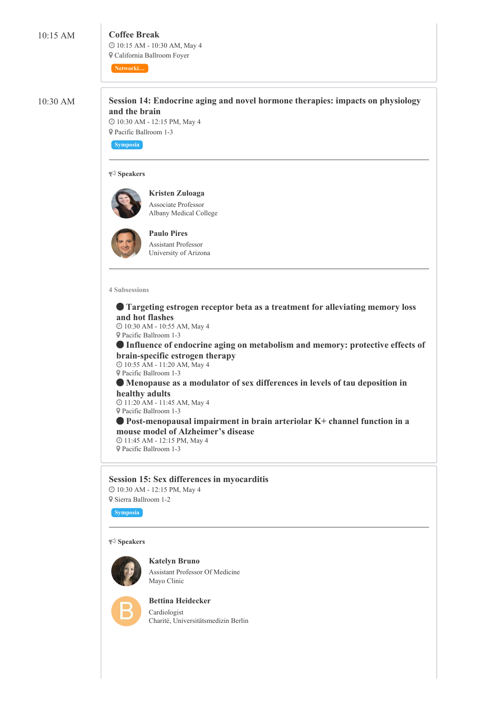### 10:15 AM **Coffee Break**

 10:15 AM - 10:30 AM, May 4 California Ballroom Foyer

**Networki…**

10:30 AM **Session 14: Endocrine aging and novel hormone therapies: impacts on physiology and the brain**

> 10:30 AM - 12:15 PM, May 4 Pacific Ballroom 1-3

**Symposia**

#### **Speakers**



**Kristen Zuloaga** Associate Professor Albany Medical College



**Paulo Pires** Assistant Professor University of Arizona

#### **4 Subsessions**

 **Targeting estrogen receptor beta as a treatment for alleviating memory loss and hot flashes**

 10:30 AM - 10:55 AM, May 4 Pacific Ballroom 1-3

 **Influence of endocrine aging on metabolism and memory: protective effects of brain-specific estrogen therapy**

 10:55 AM - 11:20 AM, May 4 Pacific Ballroom 1-3

 **Menopause as a modulator of sex differences in levels of tau deposition in healthy adults**

 11:20 AM - 11:45 AM, May 4 Pacific Ballroom 1-3

 **Post-menopausal impairment in brain arteriolar K+ channel function in a mouse model of Alzheimer's disease**

 11:45 AM - 12:15 PM, May 4 Pacific Ballroom 1-3

#### **Session 15: Sex differences in myocarditis** 10:30 AM - 12:15 PM, May 4

Sierra Ballroom 1-2

**Symposia**

#### **Speakers**



**Katelyn Bruno** Assistant Professor Of Medicine Mayo Clinic



**Bettina Heidecker** Cardiologist Charité, Universitätsmedizin Berlin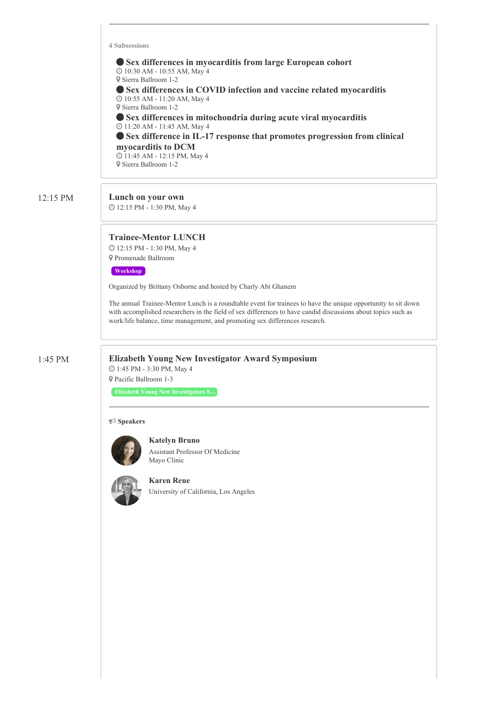**4 Subsessions**

 **Sex differences in myocarditis from large European cohort** 10:30 AM - 10:55 AM, May 4 Sierra Ballroom 1-2 **Sex differences in COVID infection and vaccine related myocarditis** 10:55 AM - 11:20 AM, May 4 Sierra Ballroom 1-2 **Sex differences in mitochondria during acute viral myocarditis** 11:20 AM - 11:45 AM, May 4 **Sex difference in IL-17 response that promotes progression from clinical myocarditis to DCM** 11:45 AM - 12:15 PM, May 4 Sierra Ballroom 1-2

#### 12:15 PM **Lunch on your own**

12:15 PM - 1:30 PM, May 4

#### **Trainee-Mentor LUNCH**

 12:15 PM - 1:30 PM, May 4 Promenade Ballroom

#### **Workshop**

Organized by Brittany Osborne and hosted by Charly Abi Ghanem

The annual Trainee-Mentor Lunch is a roundtable event for trainees to have the unique opportunity to sit down with accomplished researchers in the field of sex differences to have candid discussions about topics such as work/life balance, time management, and promoting sex differences research.

#### 1:45 PM **Elizabeth Young New Investigator Award Symposium**

 1:45 PM - 3:30 PM, May 4 Pacific Ballroom 1-3

**Elizabeth Young New Investigators S…**

#### **Speakers**



**Katelyn Bruno** Assistant Professor Of Medicine Mayo Clinic



**Karen Reue** University of California, Los Angeles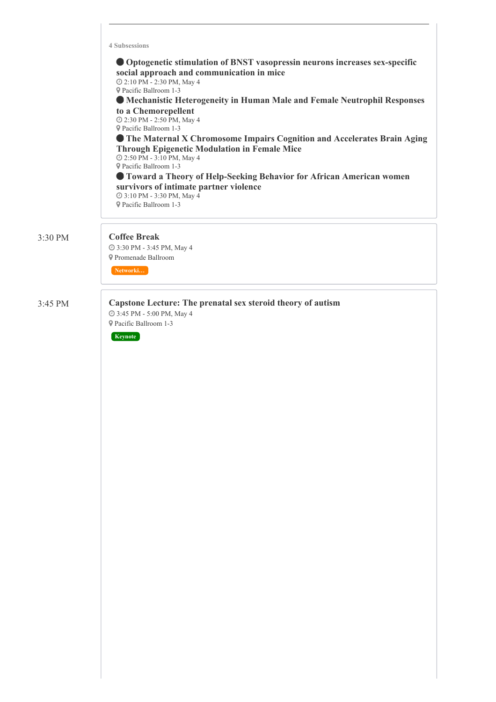|                   | <b>4 Subsessions</b><br>• Optogenetic stimulation of BNST vasopressin neurons increases sex-specific<br>social approach and communication in mice<br>2:10 PM - 2:30 PM, May 4<br><b>9</b> Pacific Ballroom 1-3<br>• Mechanistic Heterogeneity in Human Male and Female Neutrophil Responses<br>to a Chemorepellent<br>@ 2:30 PM - 2:50 PM, May 4<br><b>9</b> Pacific Ballroom 1-3<br><b>The Maternal X Chromosome Impairs Cognition and Accelerates Brain Aging</b><br><b>Through Epigenetic Modulation in Female Mice</b><br>2:50 PM - 3:10 PM, May 4<br><b>9</b> Pacific Ballroom 1-3<br><b>Toward a Theory of Help-Seeking Behavior for African American women</b><br>survivors of intimate partner violence<br>@ 3:10 PM - 3:30 PM, May 4<br><b>9</b> Pacific Ballroom 1-3 |
|-------------------|--------------------------------------------------------------------------------------------------------------------------------------------------------------------------------------------------------------------------------------------------------------------------------------------------------------------------------------------------------------------------------------------------------------------------------------------------------------------------------------------------------------------------------------------------------------------------------------------------------------------------------------------------------------------------------------------------------------------------------------------------------------------------------|
| $3:30 \text{ PM}$ | <b>Coffee Break</b><br>@ 3:30 PM - 3:45 PM, May 4<br><b>9</b> Promenade Ballroom<br>Networki                                                                                                                                                                                                                                                                                                                                                                                                                                                                                                                                                                                                                                                                                   |
| $3:45$ PM         | Capstone Lecture: The prenatal sex steroid theory of autism<br>@ 3:45 PM - 5:00 PM, May 4<br><b>9</b> Pacific Ballroom 1-3<br>Keynote                                                                                                                                                                                                                                                                                                                                                                                                                                                                                                                                                                                                                                          |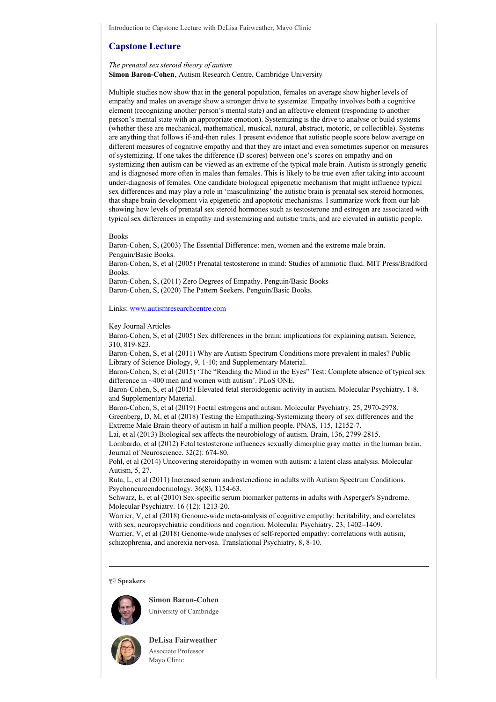#### **Capstone Lecture**

#### *The prenatal sex steroid theory of autism* **Simon Baron-Cohen**, Autism Research Centre, Cambridge University

Multiple studies now show that in the general population, females on average show higher levels of empathy and males on average show a stronger drive to systemize. Empathy involves both a cognitive element (recognizing another person's mental state) and an affective element (responding to another person's mental state with an appropriate emotion). Systemizing is the drive to analyse or build systems (whether these are mechanical, mathematical, musical, natural, abstract, motoric, or collectible). Systems are anything that follows if-and-then rules. I present evidence that autistic people score below average on different measures of cognitive empathy and that they are intact and even sometimes superior on measures of systemizing. If one takes the difference (D scores) between one's scores on empathy and on systemizing then autism can be viewed as an extreme of the typical male brain. Autism is strongly genetic and is diagnosed more often in males than females. This is likely to be true even after taking into account under-diagnosis of females. One candidate biological epigenetic mechanism that might influence typical sex differences and may play a role in 'masculinizing' the autistic brain is prenatal sex steroid hormones, that shape brain development via epigenetic and apoptotic mechanisms. I summarize work from our lab showing how levels of prenatal sex steroid hormones such as testosterone and estrogen are associated with typical sex differences in empathy and systemizing and autistic traits, and are elevated in autistic people.

#### Books

Baron-Cohen, S, (2003) The Essential Difference: men, women and the extreme male brain. Penguin/Basic Books. Baron-Cohen, S, et al (2005) Prenatal testosterone in mind: Studies of amniotic fluid. MIT Press/Bradford Books. Baron-Cohen, S, (2011) Zero Degrees of Empathy. Penguin/Basic Books Baron-Cohen, S, (2020) The Pattern Seekers. Penguin/Basic Books.

Links: [www.autismresearchcentre.com](http://www.autismresearchcentre.com)

Key Journal Articles

Baron-Cohen, S, et al (2005) Sex differences in the brain: implications for explaining autism. Science, 310, 819-823.

Baron-Cohen, S, et al (2011) Why are Autism Spectrum Conditions more prevalent in males? Public Library of Science Biology, 9, 1-10; and Supplementary Material.

Baron-Cohen, S, et al (2015) 'The "Reading the Mind in the Eyes" Test: Complete absence of typical sex difference in ~400 men and women with autism'. PLoS ONE.

Baron-Cohen, S, et al (2015) Elevated fetal steroidogenic activity in autism. Molecular Psychiatry, 1-8. and Supplementary Material.

Baron-Cohen, S, et al (2019) Foetal estrogens and autism. Molecular Psychiatry. 25, 2970-2978. Greenberg, D, M, et al (2018) Testing the Empathizing-Systemizing theory of sex differences and the Extreme Male Brain theory of autism in half a million people. PNAS, 115, 12152-7.

Lai, et al (2013) Biological sex affects the neurobiology of autism. Brain, 136, 2799-2815.

Lombardo, et al (2012) Fetal testosterone influences sexually dimorphic gray matter in the human brain. Journal of Neuroscience. 32(2): 674-80.

Pohl, et al (2014) Uncovering steroidopathy in women with autism: a latent class analysis. Molecular Autism, 5, 27.

Ruta, L, et al (2011) Increased serum androstenedione in adults with Autism Spectrum Conditions. Psychoneuroendocrinology. 36(8), 1154-63.

Schwarz, E, et al (2010) Sex-specific serum biomarker patterns in adults with Asperger's Syndrome. Molecular Psychiatry. 16 (12): 1213-20.

Warrier, V, et al (2018) Genome-wide meta-analysis of cognitive empathy: heritability, and correlates with sex, neuropsychiatric conditions and cognition. Molecular Psychiatry, 23, 1402–1409.

Warrier, V, et al (2018) Genome-wide analyses of self-reported empathy: correlations with autism, schizophrenia, and anorexia nervosa. Translational Psychiatry, 8, 8-10.

#### **Speakers**



**Simon Baron-Cohen** University of Cambridge



**DeLisa Fairweather** Associate Professor Mayo Clinic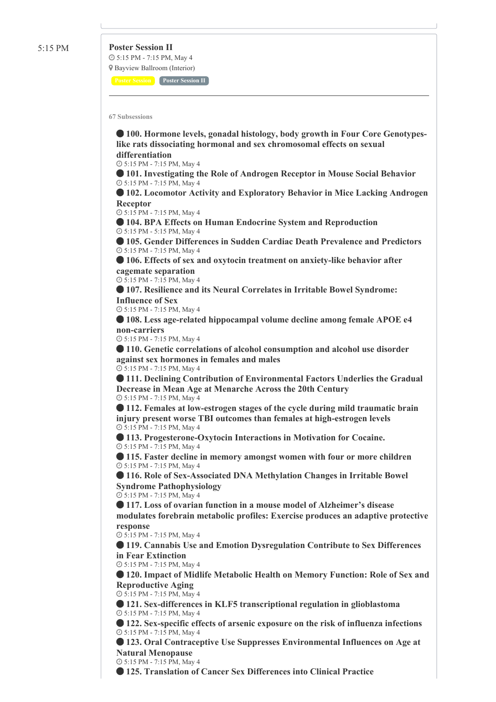5:15 PM **Poster Session II** 5:15 PM - 7:15 PM, May 4 Bayview Ballroom (Interior)

**Poster Session Poster Session II**

**67 Subsessions**

 **100. Hormone levels, gonadal histology, body growth in Four Core Genotypeslike rats dissociating hormonal and sex chromosomal effects on sexual differentiation**

5:15 PM - 7:15 PM, May 4

 **101. Investigating the Role of Androgen Receptor in Mouse Social Behavior** 5:15 PM - 7:15 PM, May 4

 **102. Locomotor Activity and Exploratory Behavior in Mice Lacking Androgen Receptor**

5:15 PM - 7:15 PM, May 4

 **104. BPA Effects on Human Endocrine System and Reproduction** 5:15 PM - 5:15 PM, May 4

 **105. Gender Differences in Sudden Cardiac Death Prevalence and Predictors** 5:15 PM - 7:15 PM, May 4

 **106. Effects of sex and oxytocin treatment on anxiety-like behavior after cagemate separation**

5:15 PM - 7:15 PM, May 4

 **107. Resilience and its Neural Correlates in Irritable Bowel Syndrome: Influence of Sex**

5:15 PM - 7:15 PM, May 4

 **108. Less age-related hippocampal volume decline among female APOE e4 non-carriers**

5:15 PM - 7:15 PM, May 4

 **110. Genetic correlations of alcohol consumption and alcohol use disorder against sex hormones in females and males** 5:15 PM - 7:15 PM, May 4

 **111. Declining Contribution of Environmental Factors Underlies the Gradual Decrease in Mean Age at Menarche Across the 20th Century** 5:15 PM - 7:15 PM, May 4

 **112. Females at low-estrogen stages of the cycle during mild traumatic brain injury present worse TBI outcomes than females at high-estrogen levels** 5:15 PM - 7:15 PM, May 4

 **113. Progesterone-Oxytocin Interactions in Motivation for Cocaine.** 5:15 PM - 7:15 PM, May 4

 **115. Faster decline in memory amongst women with four or more children** 5:15 PM - 7:15 PM, May 4

 **116. Role of Sex-Associated DNA Methylation Changes in Irritable Bowel Syndrome Pathophysiology**

5:15 PM - 7:15 PM, May 4

 **117. Loss of ovarian function in a mouse model of Alzheimer's disease modulates forebrain metabolic profiles: Exercise produces an adaptive protective response**

5:15 PM - 7:15 PM, May 4

 **119. Cannabis Use and Emotion Dysregulation Contribute to Sex Differences in Fear Extinction**

5:15 PM - 7:15 PM, May 4

 **120. Impact of Midlife Metabolic Health on Memory Function: Role of Sex and Reproductive Aging**

5:15 PM - 7:15 PM, May 4

 **121. Sex-differences in KLF5 transcriptional regulation in glioblastoma** 5:15 PM - 7:15 PM, May 4

 **122. Sex-specific effects of arsenic exposure on the risk of influenza infections** 5:15 PM - 7:15 PM, May 4

 **123. Oral Contraceptive Use Suppresses Environmental Influences on Age at Natural Menopause**

5:15 PM - 7:15 PM, May 4

**125. Translation of Cancer Sex Differences into Clinical Practice**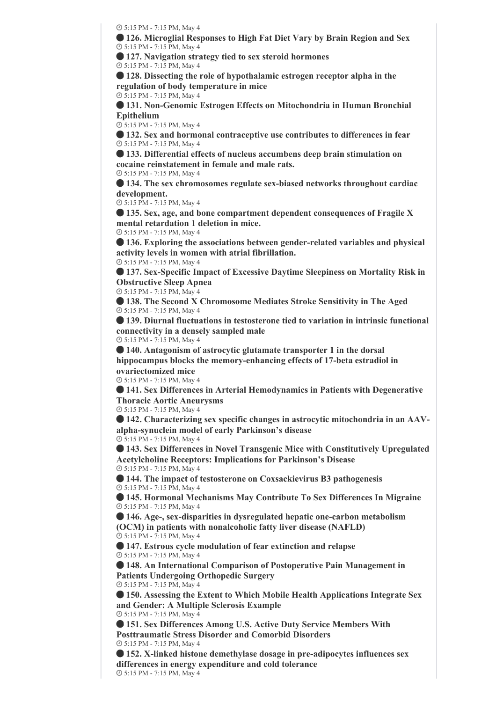5:15 PM - 7:15 PM, May 4

 **126. Microglial Responses to High Fat Diet Vary by Brain Region and Sex** 5:15 PM - 7:15 PM, May 4

**127. Navigation strategy tied to sex steroid hormones**

5:15 PM - 7:15 PM, May 4

 **128. Dissecting the role of hypothalamic estrogen receptor alpha in the regulation of body temperature in mice**

5:15 PM - 7:15 PM, May 4

 **131. Non-Genomic Estrogen Effects on Mitochondria in Human Bronchial Epithelium**

5:15 PM - 7:15 PM, May 4

 **132. Sex and hormonal contraceptive use contributes to differences in fear** 5:15 PM - 7:15 PM, May 4

 **133. Differential effects of nucleus accumbens deep brain stimulation on cocaine reinstatement in female and male rats.** 5:15 PM - 7:15 PM, May 4

 **134. The sex chromosomes regulate sex-biased networks throughout cardiac development.**

5:15 PM - 7:15 PM, May 4

 **135. Sex, age, and bone compartment dependent consequences of Fragile X mental retardation 1 deletion in mice.**

5:15 PM - 7:15 PM, May 4

 **136. Exploring the associations between gender-related variables and physical activity levels in women with atrial fibrillation.**

5:15 PM - 7:15 PM, May 4

 **137. Sex-Specific Impact of Excessive Daytime Sleepiness on Mortality Risk in Obstructive Sleep Apnea**

5:15 PM - 7:15 PM, May 4

 **138. The Second X Chromosome Mediates Stroke Sensitivity in The Aged** 5:15 PM - 7:15 PM, May 4

 **139. Diurnal fluctuations in testosterone tied to variation in intrinsic functional connectivity in a densely sampled male**

5:15 PM - 7:15 PM, May 4

 **140. Antagonism of astrocytic glutamate transporter 1 in the dorsal hippocampus blocks the memory-enhancing effects of 17-beta estradiol in ovariectomized mice**

5:15 PM - 7:15 PM, May 4

 **141. Sex Differences in Arterial Hemodynamics in Patients with Degenerative Thoracic Aortic Aneurysms**

5:15 PM - 7:15 PM, May 4

 **142. Characterizing sex specific changes in astrocytic mitochondria in an AAValpha-synuclein model of early Parkinson's disease**

5:15 PM - 7:15 PM, May 4

 **143. Sex Differences in Novel Transgenic Mice with Constitutively Upregulated Acetylcholine Receptors: Implications for Parkinson's Disease** 5:15 PM - 7:15 PM, May 4

 **144. The impact of testosterone on Coxsackievirus B3 pathogenesis** 5:15 PM - 7:15 PM, May 4

 **145. Hormonal Mechanisms May Contribute To Sex Differences In Migraine** 5:15 PM - 7:15 PM, May 4

 **146. Age-, sex-disparities in dysregulated hepatic one-carbon metabolism (OCM) in patients with nonalcoholic fatty liver disease (NAFLD)**

5:15 PM - 7:15 PM, May 4

 **147. Estrous cycle modulation of fear extinction and relapse** 5:15 PM - 7:15 PM, May 4

 **148. An International Comparison of Postoperative Pain Management in Patients Undergoing Orthopedic Surgery**

5:15 PM - 7:15 PM, May 4

 **150. Assessing the Extent to Which Mobile Health Applications Integrate Sex and Gender: A Multiple Sclerosis Example**

5:15 PM - 7:15 PM, May 4

 **151. Sex Differences Among U.S. Active Duty Service Members With Posttraumatic Stress Disorder and Comorbid Disorders** 5:15 PM - 7:15 PM, May 4

 **152. X-linked histone demethylase dosage in pre-adipocytes influences sex differences in energy expenditure and cold tolerance** 5:15 PM - 7:15 PM, May 4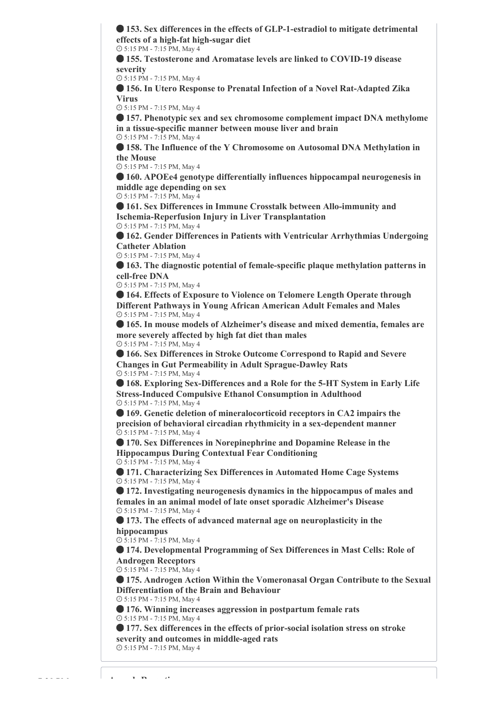**153. Sex differences in the effects of GLP-1-estradiol to mitigate detrimental effects of a high-fat high-sugar diet**

5:15 PM - 7:15 PM, May 4

 **155. Testosterone and Aromatase levels are linked to COVID-19 disease severity**

5:15 PM - 7:15 PM, May 4

 **156. In Utero Response to Prenatal Infection of a Novel Rat-Adapted Zika Virus**

5:15 PM - 7:15 PM, May 4

 **157. Phenotypic sex and sex chromosome complement impact DNA methylome in a tissue-specific manner between mouse liver and brain** 5:15 PM - 7:15 PM, May 4

 **158. The Influence of the Y Chromosome on Autosomal DNA Methylation in the Mouse**

5:15 PM - 7:15 PM, May 4

 **160. APOEe4 genotype differentially influences hippocampal neurogenesis in middle age depending on sex**

5:15 PM - 7:15 PM, May 4

 **161. Sex Differences in Immune Crosstalk between Allo-immunity and Ischemia-Reperfusion Injury in Liver Transplantation** 5:15 PM - 7:15 PM, May 4

 **162. Gender Differences in Patients with Ventricular Arrhythmias Undergoing Catheter Ablation**

5:15 PM - 7:15 PM, May 4

 **163. The diagnostic potential of female-specific plaque methylation patterns in cell-free DNA**

5:15 PM - 7:15 PM, May 4

 **164. Effects of Exposure to Violence on Telomere Length Operate through Different Pathways in Young African American Adult Females and Males** 5:15 PM - 7:15 PM, May 4

 **165. In mouse models of Alzheimer's disease and mixed dementia, females are more severely affected by high fat diet than males** 5:15 PM - 7:15 PM, May 4

 **166. Sex Differences in Stroke Outcome Correspond to Rapid and Severe Changes in Gut Permeability in Adult Sprague-Dawley Rats** 5:15 PM - 7:15 PM, May 4

 **168. Exploring Sex-Differences and a Role for the 5-HT System in Early Life Stress-Induced Compulsive Ethanol Consumption in Adulthood** 5:15 PM - 7:15 PM, May 4

 **169. Genetic deletion of mineralocorticoid receptors in CA2 impairs the precision of behavioral circadian rhythmicity in a sex-dependent manner** 5:15 PM - 7:15 PM, May 4

 **170. Sex Differences in Norepinephrine and Dopamine Release in the Hippocampus During Contextual Fear Conditioning** 5:15 PM - 7:15 PM, May 4

 **171. Characterizing Sex Differences in Automated Home Cage Systems** 5:15 PM - 7:15 PM, May 4

 **172. Investigating neurogenesis dynamics in the hippocampus of males and females in an animal model of late onset sporadic Alzheimer's Disease** 5:15 PM - 7:15 PM, May 4

 **173. The effects of advanced maternal age on neuroplasticity in the hippocampus**

5:15 PM - 7:15 PM, May 4

 **174. Developmental Programming of Sex Differences in Mast Cells: Role of Androgen Receptors**

5:15 PM - 7:15 PM, May 4

 **175. Androgen Action Within the Vomeronasal Organ Contribute to the Sexual Differentiation of the Brain and Behaviour**

5:15 PM - 7:15 PM, May 4

 **176. Winning increases aggression in postpartum female rats** 5:15 PM - 7:15 PM, May 4

 **177. Sex differences in the effects of prior-social isolation stress on stroke severity and outcomes in middle-aged rats** 5:15 PM - 7:15 PM, May 4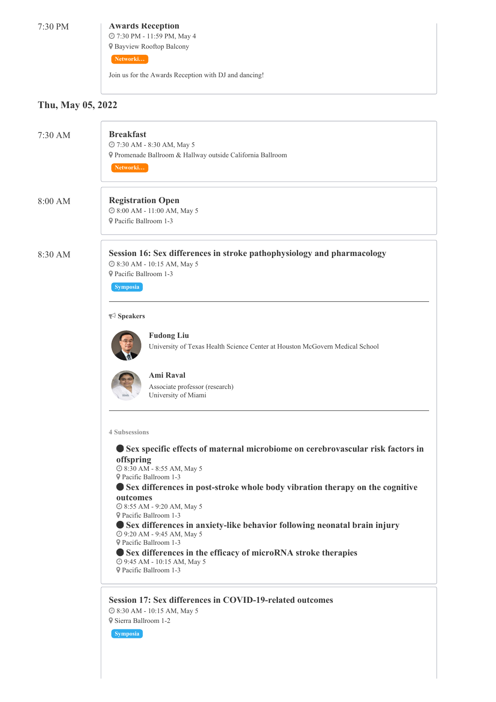#### 7:30 PM **Awards Reception**

 7:30 PM - 11:59 PM, May 4 Bayview Rooftop Balcony

**Networki…**

Join us for the Awards Reception with DJ and dancing!

## **Thu, May 05, 2022**

| 7:30 AM | <b>Breakfast</b><br>@ 7:30 AM - 8:30 AM, May 5<br>P Promenade Ballroom & Hallway outside California Ballroom<br>Networki                                                                                                                                                                                                                                                                                                                                                                                                                                                                                                                                                               |
|---------|----------------------------------------------------------------------------------------------------------------------------------------------------------------------------------------------------------------------------------------------------------------------------------------------------------------------------------------------------------------------------------------------------------------------------------------------------------------------------------------------------------------------------------------------------------------------------------------------------------------------------------------------------------------------------------------|
| 8:00 AM | <b>Registration Open</b><br>@ 8:00 AM - 11:00 AM, May 5<br>P Pacific Ballroom 1-3                                                                                                                                                                                                                                                                                                                                                                                                                                                                                                                                                                                                      |
| 8:30 AM | Session 16: Sex differences in stroke pathophysiology and pharmacology<br>@ 8:30 AM - 10:15 AM, May 5<br><b>9</b> Pacific Ballroom 1-3<br><b>Symposia</b><br>$\blacktriangleright$ Speakers<br><b>Fudong Liu</b><br>University of Texas Health Science Center at Houston McGovern Medical School<br><b>Ami Raval</b><br>Associate professor (research)<br>University of Miami<br><b>4 Subsessions</b><br>Sex specific effects of maternal microbiome on cerebrovascular risk factors in<br>offspring<br>@ 8:30 AM - 8:55 AM, May 5<br>P Pacific Ballroom 1-3<br>Sex differences in post-stroke whole body vibration therapy on the cognitive<br>outcomes<br>@ 8:55 AM - 9:20 AM, May 5 |
|         | <b>9</b> Pacific Ballroom 1-3<br>Sex differences in anxiety-like behavior following neonatal brain injury<br>@ 9:20 AM - 9:45 AM, May 5<br><b>9</b> Pacific Ballroom 1-3<br>Sex differences in the efficacy of microRNA stroke therapies<br>◎ 9:45 AM - 10:15 AM, May 5<br><b>9</b> Pacific Ballroom 1-3                                                                                                                                                                                                                                                                                                                                                                               |
|         | Session 17: Sex differences in COVID-19-related outcomes<br>@ 8:30 AM - 10:15 AM, May 5                                                                                                                                                                                                                                                                                                                                                                                                                                                                                                                                                                                                |

 Sierra Ballroom 1-2 **Symposia**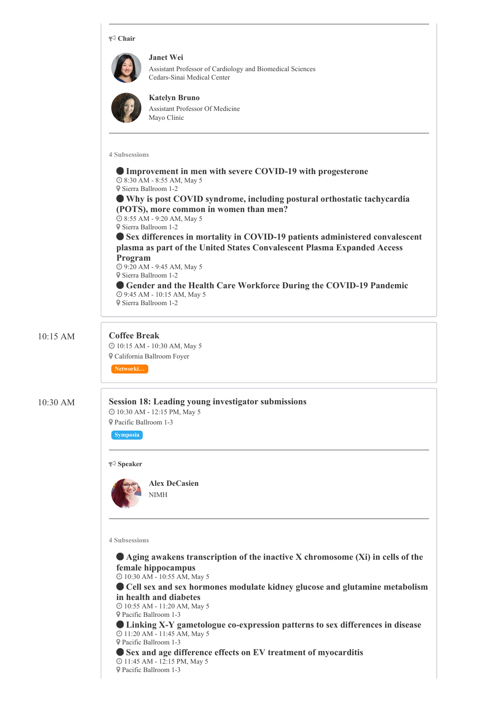|          | $\blacktriangleright$ Chair                                                                                                                                                                                                                                                                                                                                                                                                                                                                                                                                                                                                                                                                      |
|----------|--------------------------------------------------------------------------------------------------------------------------------------------------------------------------------------------------------------------------------------------------------------------------------------------------------------------------------------------------------------------------------------------------------------------------------------------------------------------------------------------------------------------------------------------------------------------------------------------------------------------------------------------------------------------------------------------------|
|          | <b>Janet Wei</b><br>Assistant Professor of Cardiology and Biomedical Sciences<br>Cedars-Sinai Medical Center<br><b>Katelyn Bruno</b><br>Assistant Professor Of Medicine<br>Mayo Clinic                                                                                                                                                                                                                                                                                                                                                                                                                                                                                                           |
|          | <b>4 Subsessions</b><br>Improvement in men with severe COVID-19 with progesterone<br>@ 8:30 AM - 8:55 AM, May 5<br>9 Sierra Ballroom 1-2<br>● Why is post COVID syndrome, including postural orthostatic tachycardia<br>(POTS), more common in women than men?<br>@ 8:55 AM - 9:20 AM, May 5<br>9 Sierra Ballroom 1-2<br>Sex differences in mortality in COVID-19 patients administered convalescent<br>plasma as part of the United States Convalescent Plasma Expanded Access<br>Program<br>@ 9:20 AM - 9:45 AM, May 5<br><sup>9</sup> Sierra Ballroom 1-2<br>Gender and the Health Care Workforce During the COVID-19 Pandemic<br><b>@ 9:45 AM - 10:15 AM, May 5</b><br>9 Sierra Ballroom 1-2 |
| 10:15 AM | <b>Coffee Break</b><br>@ 10:15 AM - 10:30 AM, May 5<br><b>V</b> California Ballroom Foyer<br>Networki                                                                                                                                                                                                                                                                                                                                                                                                                                                                                                                                                                                            |
| 10:30 AM | <b>Session 18: Leading young investigator submissions</b><br>@ 10:30 AM - 12:15 PM, May 5<br>Pacific Ballroom 1-3<br><b>Symposia</b><br>$\blacktriangleright$ Speaker<br><b>Alex DeCasien</b><br>NIMH                                                                                                                                                                                                                                                                                                                                                                                                                                                                                            |
|          | <b>4 Subsessions</b><br>• Aging awakens transcription of the inactive X chromosome (Xi) in cells of the<br>female hippocampus<br>@ 10:30 AM - 10:55 AM, May 5<br>Cell sex and sex hormones modulate kidney glucose and glutamine metabolism<br>in health and diabetes<br>@ 10:55 AM - 11:20 AM, May 5<br>Pacific Ballroom 1-3<br><b>Linking X-Y gametologue co-expression patterns to sex differences in disease</b><br>@ 11:20 AM - 11:45 AM, May 5<br>Pacific Ballroom 1-3<br>Sex and age difference effects on EV treatment of myocarditis<br>@ 11:45 AM - 12:15 PM, May 5<br>P Pacific Ballroom 1-3                                                                                          |